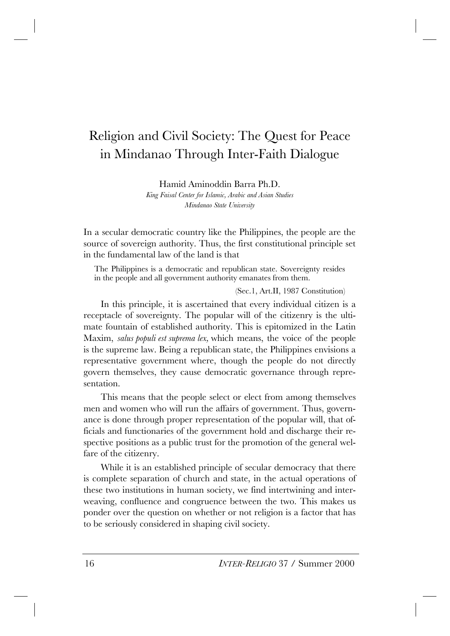# Religion and Civil Society: The Quest for Peace in Mindanao Through Inter-Faith Dialogue

Hamid Aminoddin Barra Ph.D.

*King Faisal Center for Islamic, Arabic and Asian Studies Mindanao State University*

In a secular democratic country like the Philippines, the people are the source of sovereign authority. Thus, the first constitutional principle set in the fundamental law of the land is that

The Philippines is a democratic and republican state. Sovereignty resides in the people and all government authority emanates from them.

(Sec.1, Art.II, 1987 Constitution)

In this principle, it is ascertained that every individual citizen is a receptacle of sovereignty. The popular will of the citizenry is the ultimate fountain of established authority. This is epitomized in the Latin Maxim, *salus populi est suprema lex,* which means, the voice of the people is the supreme law. Being a republican state, the Philippines envisions a representative government where, though the people do not directly govern themselves, they cause democratic governance through representation.

This means that the people select or elect from among themselves men and women who will run the affairs of government. Thus, governance is done through proper representation of the popular will, that officials and functionaries of the government hold and discharge their respective positions as a public trust for the promotion of the general welfare of the citizenry.

While it is an established principle of secular democracy that there is complete separation of church and state, in the actual operations of these two institutions in human society, we find intertwining and interweaving, confluence and congruence between the two. This makes us ponder over the question on whether or not religion is a factor that has to be seriously considered in shaping civil society.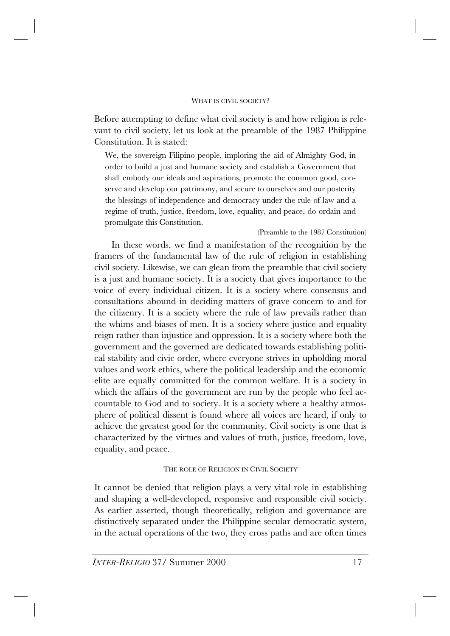#### WHAT IS CIVIL SOCIETY?

Before attempting to define what civil society is and how religion is relevant to civil society, let us look at the preamble of the 1987 Philippine Constitution. It is stated:

We, the sovereign Filipino people, imploring the aid of Almighty God, in order to build a just and humane society and establish a Government that shall embody our ideals and aspirations, promote the common good, conserve and develop our patrimony, and secure to ourselves and our posterity the blessings of independence and democracy under the rule of law and a regime of truth, justice, freedom, love, equality, and peace, do ordain and promulgate this Constitution.

### (Preamble to the 1987 Constitution)

In these words, we find a manifestation of the recognition by the framers of the fundamental law of the rule of religion in establishing civil society. Likewise, we can glean from the preamble that civil society is a just and humane society. It is a society that gives importance to the voice of every individual citizen. It is a society where consensus and consultations abound in deciding matters of grave concern to and for the citizenry. It is a society where the rule of law prevails rather than the whims and biases of men. It is a society where justice and equality reign rather than injustice and oppression. It is a society where both the government and the governed are dedicated towards establishing political stability and civic order, where everyone strives in upholding moral values and work ethics, where the political leadership and the economic elite are equally committed for the common welfare. It is a society in which the affairs of the government are run by the people who feel accountable to God and to society. It is a society where a healthy atmosphere of political dissent is found where all voices are heard, if only to achieve the greatest good for the community. Civil society is one that is characterized by the virtues and values of truth, justice, freedom, love, equality, and peace.

## THE ROLE OF RELIGION IN CIVIL SOCIETY

It cannot be denied that religion plays a very vital role in establishing and shaping a well-developed, responsive and responsible civil society. As earlier asserted, though theoretically, religion and governance are distinctively separated under the Philippine secular democratic system, in the actual operations of the two, they cross paths and are often times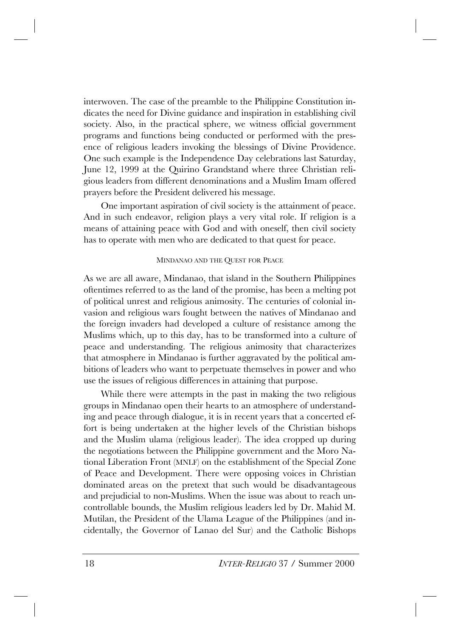interwoven. The case of the preamble to the Philippine Constitution indicates the need for Divine guidance and inspiration in establishing civil society. Also, in the practical sphere, we witness official government programs and functions being conducted or performed with the presence of religious leaders invoking the blessings of Divine Providence. One such example is the Independence Day celebrations last Saturday, June 12, 1999 at the Quirino Grandstand where three Christian religious leaders from different denominations and a Muslim Imam offered prayers before the President delivered his message.

One important aspiration of civil society is the attainment of peace. And in such endeavor, religion plays a very vital role. If religion is a means of attaining peace with God and with oneself, then civil society has to operate with men who are dedicated to that quest for peace.

#### MINDANAO AND THE QUEST FOR PEACE

As we are all aware, Mindanao, that island in the Southern Philippines oftentimes referred to as the land of the promise, has been a melting pot of political unrest and religious animosity. The centuries of colonial invasion and religious wars fought between the natives of Mindanao and the foreign invaders had developed a culture of resistance among the Muslims which, up to this day, has to be transformed into a culture of peace and understanding. The religious animosity that characterizes that atmosphere in Mindanao is further aggravated by the political ambitions of leaders who want to perpetuate themselves in power and who use the issues of religious differences in attaining that purpose.

While there were attempts in the past in making the two religious groups in Mindanao open their hearts to an atmosphere of understanding and peace through dialogue, it is in recent years that a concerted effort is being undertaken at the higher levels of the Christian bishops and the Muslim ulama (religious leader). The idea cropped up during the negotiations between the Philippine government and the Moro National Liberation Front (MNLF) on the establishment of the Special Zone of Peace and Development. There were opposing voices in Christian dominated areas on the pretext that such would be disadvantageous and prejudicial to non-Muslims. When the issue was about to reach uncontrollable bounds, the Muslim religious leaders led by Dr. Mahid M. Mutilan, the President of the Ulama League of the Philippines (and incidentally, the Governor of Lanao del Sur) and the Catholic Bishops